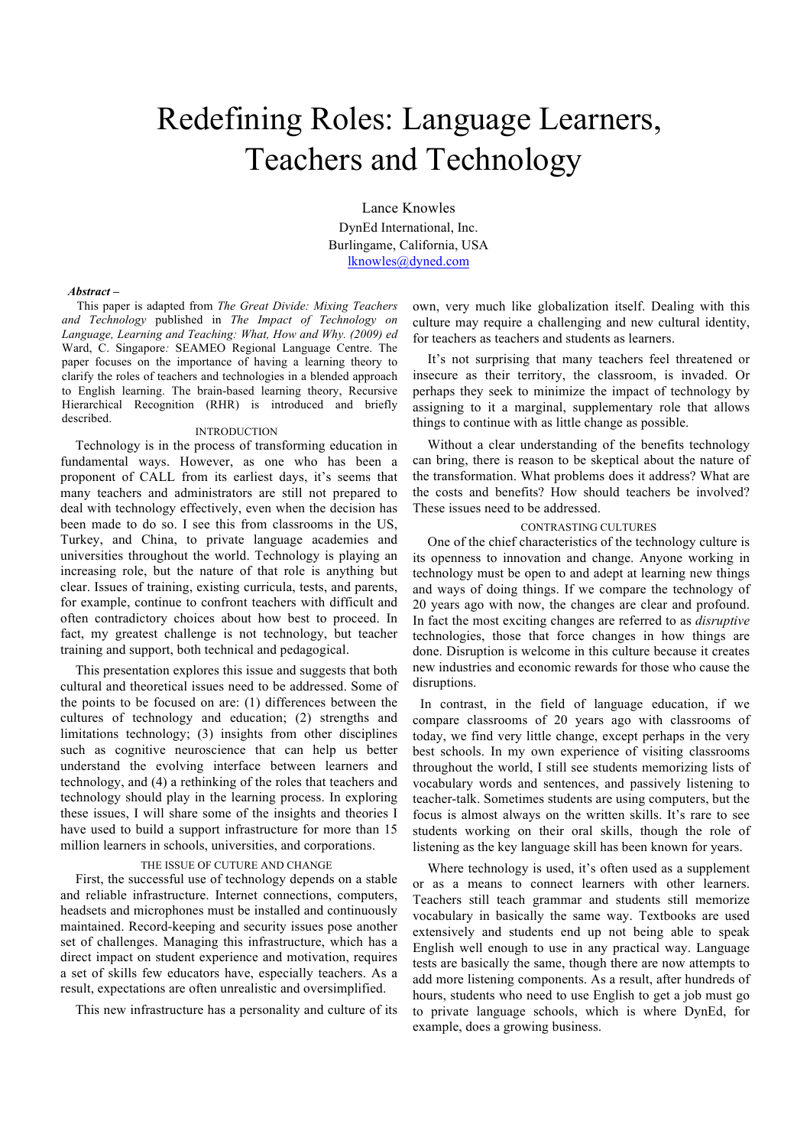# Redefining Roles: Language Learners, Teachers and Technology

Lance Knowles DynEd International, Inc. Burlingame, California, USA lknowles@dyned.com

#### *Abstract –*

This paper is adapted from *The Great Divide: Mixing Teachers and Technology* published in *The Impact of Technology on Language, Learning and Teaching: What, How and Why. (2009) ed*  Ward, C. Singapore*:* SEAMEO Regional Language Centre. The paper focuses on the importance of having a learning theory to clarify the roles of teachers and technologies in a blended approach to English learning. The brain-based learning theory, Recursive Hierarchical Recognition (RHR) is introduced and briefly described.

#### INTRODUCTION

Technology is in the process of transforming education in fundamental ways. However, as one who has been a proponent of CALL from its earliest days, it's seems that many teachers and administrators are still not prepared to deal with technology effectively, even when the decision has been made to do so. I see this from classrooms in the US, Turkey, and China, to private language academies and universities throughout the world. Technology is playing an increasing role, but the nature of that role is anything but clear. Issues of training, existing curricula, tests, and parents, for example, continue to confront teachers with difficult and often contradictory choices about how best to proceed. In fact, my greatest challenge is not technology, but teacher training and support, both technical and pedagogical.

This presentation explores this issue and suggests that both cultural and theoretical issues need to be addressed. Some of the points to be focused on are: (1) differences between the cultures of technology and education; (2) strengths and limitations technology; (3) insights from other disciplines such as cognitive neuroscience that can help us better understand the evolving interface between learners and technology, and (4) a rethinking of the roles that teachers and technology should play in the learning process. In exploring these issues, I will share some of the insights and theories I have used to build a support infrastructure for more than 15 million learners in schools, universities, and corporations.

## THE ISSUE OF CUTURE AND CHANGE

First, the successful use of technology depends on a stable and reliable infrastructure. Internet connections, computers, headsets and microphones must be installed and continuously maintained. Record-keeping and security issues pose another set of challenges. Managing this infrastructure, which has a direct impact on student experience and motivation, requires a set of skills few educators have, especially teachers. As a result, expectations are often unrealistic and oversimplified.

This new infrastructure has a personality and culture of its

own, very much like globalization itself. Dealing with this culture may require a challenging and new cultural identity, for teachers as teachers and students as learners.

It's not surprising that many teachers feel threatened or insecure as their territory, the classroom, is invaded. Or perhaps they seek to minimize the impact of technology by assigning to it a marginal, supplementary role that allows things to continue with as little change as possible.

Without a clear understanding of the benefits technology can bring, there is reason to be skeptical about the nature of the transformation. What problems does it address? What are the costs and benefits? How should teachers be involved? These issues need to be addressed.

## CONTRASTING CULTURES

One of the chief characteristics of the technology culture is its openness to innovation and change. Anyone working in technology must be open to and adept at learning new things and ways of doing things. If we compare the technology of 20 years ago with now, the changes are clear and profound. In fact the most exciting changes are referred to as *disruptive* technologies, those that force changes in how things are done. Disruption is welcome in this culture because it creates new industries and economic rewards for those who cause the disruptions.

In contrast, in the field of language education, if we compare classrooms of 20 years ago with classrooms of today, we find very little change, except perhaps in the very best schools. In my own experience of visiting classrooms throughout the world, I still see students memorizing lists of vocabulary words and sentences, and passively listening to teacher-talk. Sometimes students are using computers, but the focus is almost always on the written skills. It's rare to see students working on their oral skills, though the role of listening as the key language skill has been known for years.

Where technology is used, it's often used as a supplement or as a means to connect learners with other learners. Teachers still teach grammar and students still memorize vocabulary in basically the same way. Textbooks are used extensively and students end up not being able to speak English well enough to use in any practical way. Language tests are basically the same, though there are now attempts to add more listening components. As a result, after hundreds of hours, students who need to use English to get a job must go to private language schools, which is where DynEd, for example, does a growing business.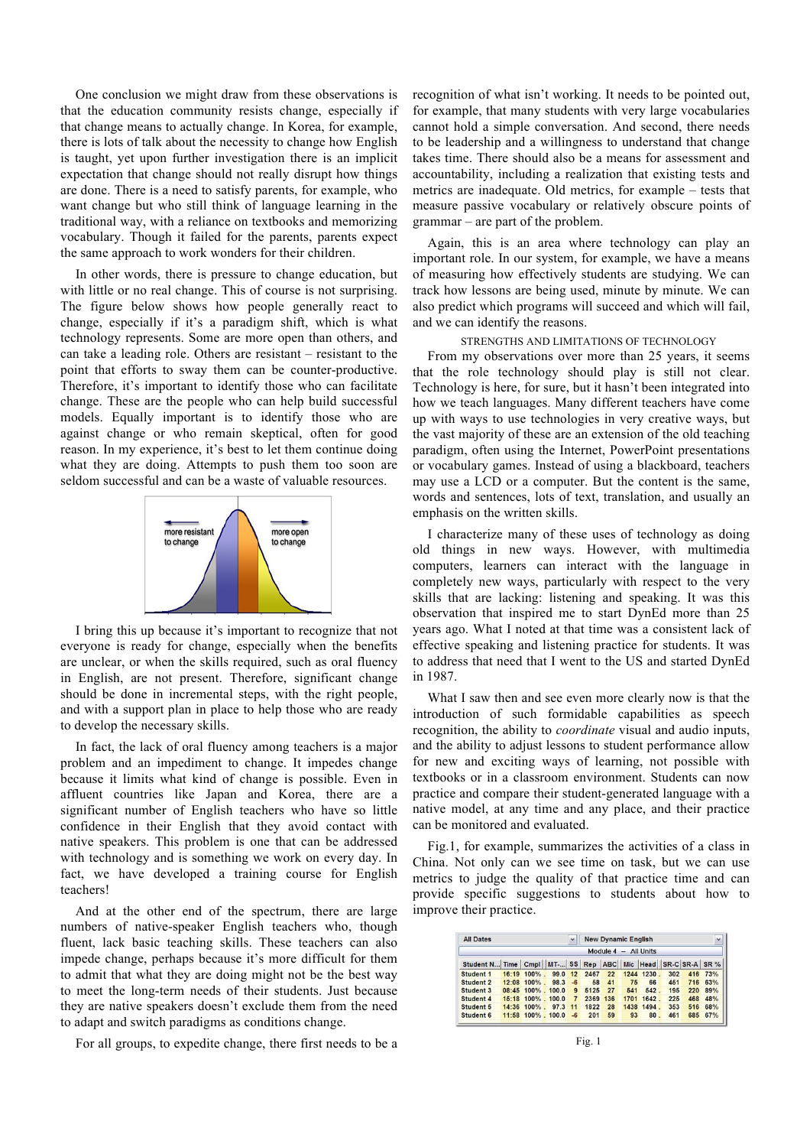One conclusion we might draw from these observations is that the education community resists change, especially if that change means to actually change. In Korea, for example, there is lots of talk about the necessity to change how English is taught, yet upon further investigation there is an implicit expectation that change should not really disrupt how things are done. There is a need to satisfy parents, for example, who want change but who still think of language learning in the traditional way, with a reliance on textbooks and memorizing vocabulary. Though it failed for the parents, parents expect the same approach to work wonders for their children.

In other words, there is pressure to change education, but with little or no real change. This of course is not surprising. The figure below shows how people generally react to change, especially if it's a paradigm shift, which is what technology represents. Some are more open than others, and can take a leading role. Others are resistant – resistant to the point that efforts to sway them can be counter-productive. Therefore, it's important to identify those who can facilitate change. These are the people who can help build successful models. Equally important is to identify those who are against change or who remain skeptical, often for good reason. In my experience, it's best to let them continue doing what they are doing. Attempts to push them too soon are seldom successful and can be a waste of valuable resources.



I bring this up because it's important to recognize that not everyone is ready for change, especially when the benefits are unclear, or when the skills required, such as oral fluency in English, are not present. Therefore, significant change should be done in incremental steps, with the right people, and with a support plan in place to help those who are ready to develop the necessary skills.

In fact, the lack of oral fluency among teachers is a major problem and an impediment to change. It impedes change because it limits what kind of change is possible. Even in affluent countries like Japan and Korea, there are a significant number of English teachers who have so little confidence in their English that they avoid contact with native speakers. This problem is one that can be addressed with technology and is something we work on every day. In fact, we have developed a training course for English teachers!

And at the other end of the spectrum, there are large numbers of native-speaker English teachers who, though fluent, lack basic teaching skills. These teachers can also impede change, perhaps because it's more difficult for them to admit that what they are doing might not be the best way to meet the long-term needs of their students. Just because they are native speakers doesn't exclude them from the need to adapt and switch paradigms as conditions change.

For all groups, to expedite change, there first needs to be a

recognition of what isn't working. It needs to be pointed out, for example, that many students with very large vocabularies cannot hold a simple conversation. And second, there needs to be leadership and a willingness to understand that change takes time. There should also be a means for assessment and accountability, including a realization that existing tests and metrics are inadequate. Old metrics, for example – tests that measure passive vocabulary or relatively obscure points of grammar – are part of the problem.

Again, this is an area where technology can play an important role. In our system, for example, we have a means of measuring how effectively students are studying. We can track how lessons are being used, minute by minute. We can also predict which programs will succeed and which will fail, and we can identify the reasons.

## STRENGTHS AND LIMITATIONS OF TECHNOLOGY

From my observations over more than 25 years, it seems that the role technology should play is still not clear. Technology is here, for sure, but it hasn't been integrated into how we teach languages. Many different teachers have come up with ways to use technologies in very creative ways, but the vast majority of these are an extension of the old teaching paradigm, often using the Internet, PowerPoint presentations or vocabulary games. Instead of using a blackboard, teachers may use a LCD or a computer. But the content is the same, words and sentences, lots of text, translation, and usually an emphasis on the written skills.

I characterize many of these uses of technology as doing old things in new ways. However, with multimedia computers, learners can interact with the language in completely new ways, particularly with respect to the very skills that are lacking: listening and speaking. It was this observation that inspired me to start DynEd more than 25 years ago. What I noted at that time was a consistent lack of effective speaking and listening practice for students. It was to address that need that I went to the US and started DynEd in 1987.

What I saw then and see even more clearly now is that the introduction of such formidable capabilities as speech recognition, the ability to *coordinate* visual and audio inputs, and the ability to adjust lessons to student performance allow for new and exciting ways of learning, not possible with textbooks or in a classroom environment. Students can now practice and compare their student-generated language with a native model, at any time and any place, and their practice can be monitored and evaluated.

Fig.1, for example, summarizes the activities of a class in China. Not only can we see time on task, but we can use metrics to judge the quality of that practice time and can provide specific suggestions to students about how to improve their practice.

| <b>All Dates</b>          |  |                          |       | $\ddot{\phantom{1}}$ |      | <b>New Dynamic English</b> |      |          |     |                |         |
|---------------------------|--|--------------------------|-------|----------------------|------|----------------------------|------|----------|-----|----------------|---------|
| Module 4<br>$-$ All Units |  |                          |       |                      |      |                            |      |          |     |                |         |
| <b>Student N</b>          |  | Time Cmpl MT- SS Rep ABC |       |                      |      |                            |      | Mic Head |     | SR-C SR-A SR % |         |
| Student 1                 |  | 16:19 100%               | 99.0  | $12 \overline{ }$    | 2467 | 22                         | 1244 | 1230     | 302 | 416            | 73%     |
| Student <sub>2</sub>      |  | 12:08 100%               | 98.3  | $-6$                 | 58   | 41                         | 75   | 66       | 451 | 716            | 63%     |
| Student 3                 |  | $08:45$ 100%.            | 100.0 | $\mathbf{Q}$         | 5125 | 27                         | 541  | 542      | 195 | 220            | 89%     |
| Student 4                 |  | $15:18$ 100%             | 100.0 | $\overline{7}$       | 2369 | 136                        | 1701 | 1642     | 225 | 468            | 48%     |
| Student 5                 |  | $14.36$ 100%             | 97.3  | 11                   | 1822 | 28                         | 1438 | 1494     | 353 | 516            | 68%     |
| Student <sub>6</sub>      |  | $11.58$ $100\%$ $100.0$  |       | $-6$                 | 201  | 59                         | 93   | 80       | 461 |                | 685 67% |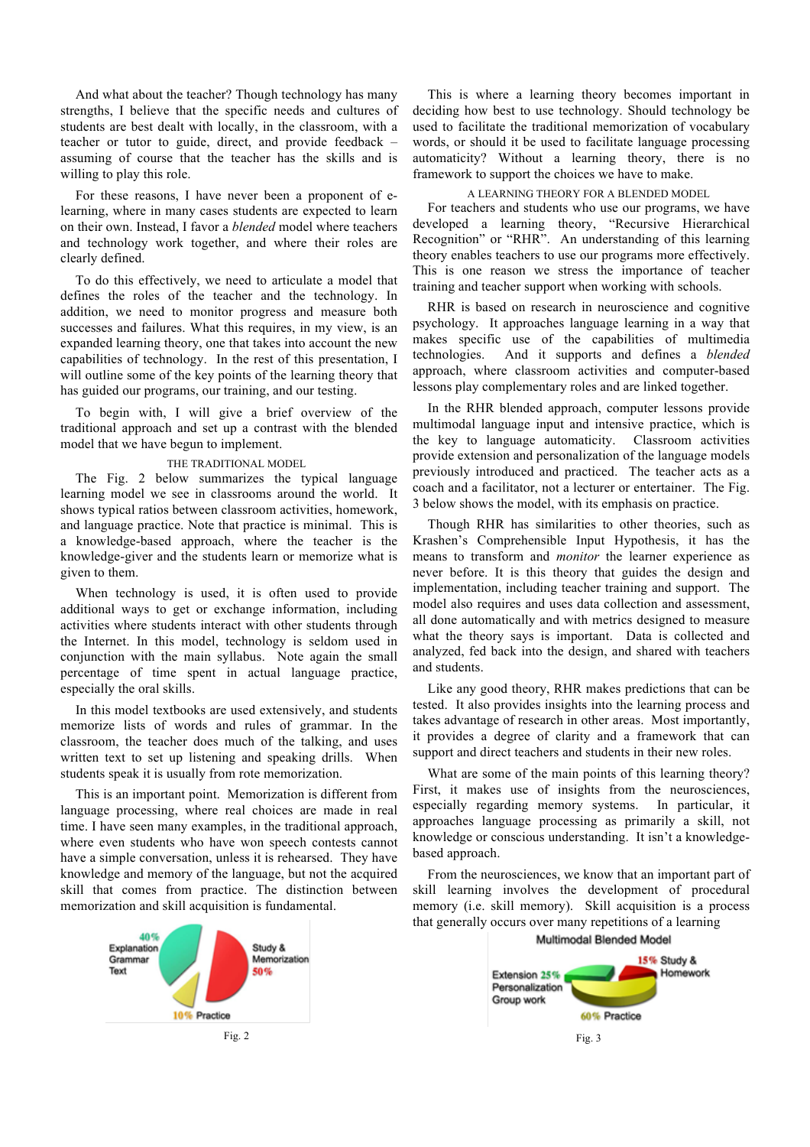And what about the teacher? Though technology has many strengths, I believe that the specific needs and cultures of students are best dealt with locally, in the classroom, with a teacher or tutor to guide, direct, and provide feedback – assuming of course that the teacher has the skills and is willing to play this role.

For these reasons, I have never been a proponent of elearning, where in many cases students are expected to learn on their own. Instead, I favor a *blended* model where teachers and technology work together, and where their roles are clearly defined.

To do this effectively, we need to articulate a model that defines the roles of the teacher and the technology. In addition, we need to monitor progress and measure both successes and failures. What this requires, in my view, is an expanded learning theory, one that takes into account the new capabilities of technology. In the rest of this presentation, I will outline some of the key points of the learning theory that has guided our programs, our training, and our testing.

To begin with, I will give a brief overview of the traditional approach and set up a contrast with the blended model that we have begun to implement.

### THE TRADITIONAL MODEL

The Fig. 2 below summarizes the typical language learning model we see in classrooms around the world. It shows typical ratios between classroom activities, homework, and language practice. Note that practice is minimal. This is a knowledge-based approach, where the teacher is the knowledge-giver and the students learn or memorize what is given to them.

When technology is used, it is often used to provide additional ways to get or exchange information, including activities where students interact with other students through the Internet. In this model, technology is seldom used in conjunction with the main syllabus. Note again the small percentage of time spent in actual language practice, especially the oral skills.

In this model textbooks are used extensively, and students memorize lists of words and rules of grammar. In the classroom, the teacher does much of the talking, and uses written text to set up listening and speaking drills. When students speak it is usually from rote memorization.

This is an important point. Memorization is different from language processing, where real choices are made in real time. I have seen many examples, in the traditional approach, where even students who have won speech contests cannot have a simple conversation, unless it is rehearsed. They have knowledge and memory of the language, but not the acquired skill that comes from practice. The distinction between memorization and skill acquisition is fundamental.

This is where a learning theory becomes important in deciding how best to use technology. Should technology be used to facilitate the traditional memorization of vocabulary words, or should it be used to facilitate language processing automaticity? Without a learning theory, there is no framework to support the choices we have to make.

## A LEARNING THEORY FOR A BLENDED MODEL

For teachers and students who use our programs, we have developed a learning theory, "Recursive Hierarchical Recognition" or "RHR". An understanding of this learning theory enables teachers to use our programs more effectively. This is one reason we stress the importance of teacher training and teacher support when working with schools.

RHR is based on research in neuroscience and cognitive psychology. It approaches language learning in a way that makes specific use of the capabilities of multimedia technologies. And it supports and defines a *blended* approach, where classroom activities and computer-based lessons play complementary roles and are linked together.

In the RHR blended approach, computer lessons provide multimodal language input and intensive practice, which is the key to language automaticity. Classroom activities provide extension and personalization of the language models previously introduced and practiced. The teacher acts as a coach and a facilitator, not a lecturer or entertainer. The Fig. 3 below shows the model, with its emphasis on practice.

Though RHR has similarities to other theories, such as Krashen's Comprehensible Input Hypothesis, it has the means to transform and *monitor* the learner experience as never before. It is this theory that guides the design and implementation, including teacher training and support. The model also requires and uses data collection and assessment, all done automatically and with metrics designed to measure what the theory says is important. Data is collected and analyzed, fed back into the design, and shared with teachers and students.

Like any good theory, RHR makes predictions that can be tested. It also provides insights into the learning process and takes advantage of research in other areas. Most importantly, it provides a degree of clarity and a framework that can support and direct teachers and students in their new roles.

What are some of the main points of this learning theory? First, it makes use of insights from the neurosciences, especially regarding memory systems. In particular, it approaches language processing as primarily a skill, not knowledge or conscious understanding. It isn't a knowledgebased approach.

From the neurosciences, we know that an important part of skill learning involves the development of procedural memory (i.e. skill memory). Skill acquisition is a process that generally occurs over many repetitions of a learning

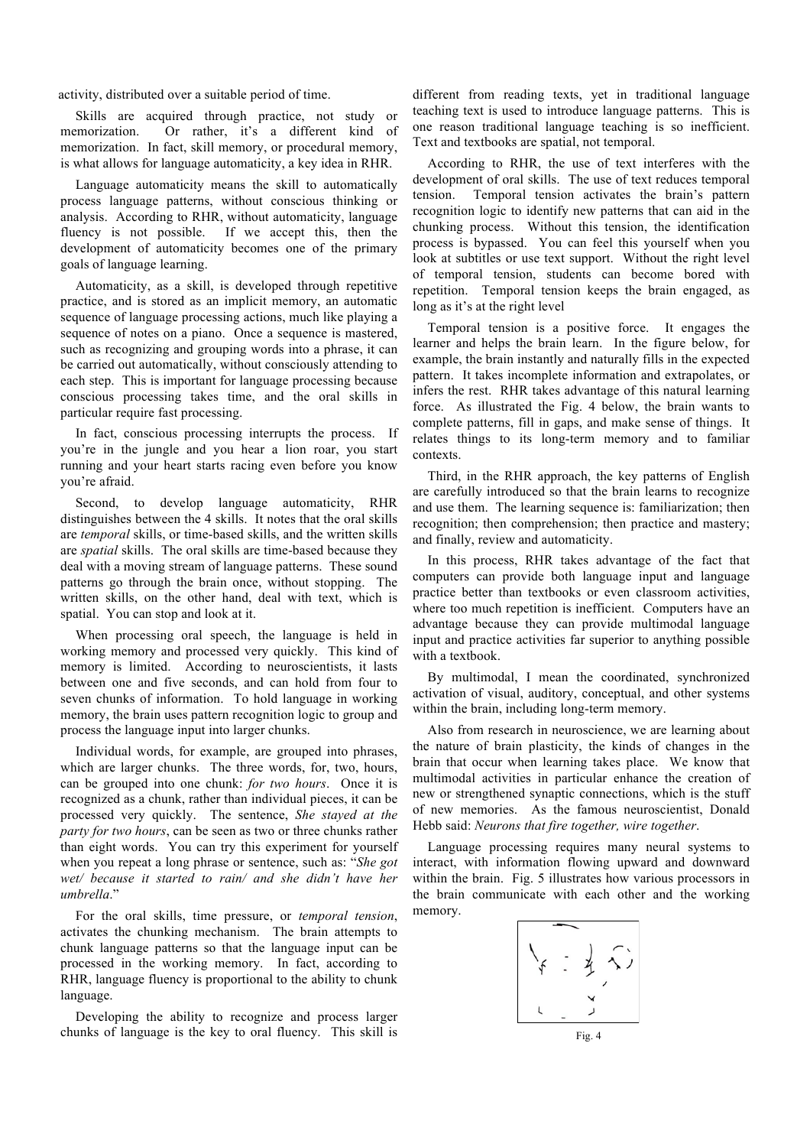activity, distributed over a suitable period of time.

Skills are acquired through practice, not study or memorization. Or rather, it's a different kind of memorization. In fact, skill memory, or procedural memory, is what allows for language automaticity, a key idea in RHR.

Language automaticity means the skill to automatically process language patterns, without conscious thinking or analysis. According to RHR, without automaticity, language fluency is not possible. If we accept this, then the development of automaticity becomes one of the primary goals of language learning.

Automaticity, as a skill, is developed through repetitive practice, and is stored as an implicit memory, an automatic sequence of language processing actions, much like playing a sequence of notes on a piano. Once a sequence is mastered, such as recognizing and grouping words into a phrase, it can be carried out automatically, without consciously attending to each step. This is important for language processing because conscious processing takes time, and the oral skills in particular require fast processing.

In fact, conscious processing interrupts the process. If you're in the jungle and you hear a lion roar, you start running and your heart starts racing even before you know you're afraid.

Second, to develop language automaticity, RHR distinguishes between the 4 skills. It notes that the oral skills are *temporal* skills, or time-based skills, and the written skills are *spatial* skills. The oral skills are time-based because they deal with a moving stream of language patterns. These sound patterns go through the brain once, without stopping. The written skills, on the other hand, deal with text, which is spatial. You can stop and look at it.

When processing oral speech, the language is held in working memory and processed very quickly. This kind of memory is limited. According to neuroscientists, it lasts between one and five seconds, and can hold from four to seven chunks of information. To hold language in working memory, the brain uses pattern recognition logic to group and process the language input into larger chunks.

Individual words, for example, are grouped into phrases, which are larger chunks. The three words, for, two, hours, can be grouped into one chunk: *for two hours*. Once it is recognized as a chunk, rather than individual pieces, it can be processed very quickly. The sentence, *She stayed at the party for two hours*, can be seen as two or three chunks rather than eight words. You can try this experiment for yourself when you repeat a long phrase or sentence, such as: "*She got wet/ because it started to rain/ and she didn't have her umbrella*."

For the oral skills, time pressure, or *temporal tension*, activates the chunking mechanism. The brain attempts to chunk language patterns so that the language input can be processed in the working memory. In fact, according to RHR, language fluency is proportional to the ability to chunk language.

Developing the ability to recognize and process larger chunks of language is the key to oral fluency. This skill is

different from reading texts, yet in traditional language teaching text is used to introduce language patterns. This is one reason traditional language teaching is so inefficient. Text and textbooks are spatial, not temporal.

According to RHR, the use of text interferes with the development of oral skills. The use of text reduces temporal tension. Temporal tension activates the brain's pattern recognition logic to identify new patterns that can aid in the chunking process. Without this tension, the identification process is bypassed. You can feel this yourself when you look at subtitles or use text support. Without the right level of temporal tension, students can become bored with repetition. Temporal tension keeps the brain engaged, as long as it's at the right level

Temporal tension is a positive force. It engages the learner and helps the brain learn. In the figure below, for example, the brain instantly and naturally fills in the expected pattern. It takes incomplete information and extrapolates, or infers the rest. RHR takes advantage of this natural learning force. As illustrated the Fig. 4 below, the brain wants to complete patterns, fill in gaps, and make sense of things. It relates things to its long-term memory and to familiar contexts.

Third, in the RHR approach, the key patterns of English are carefully introduced so that the brain learns to recognize and use them. The learning sequence is: familiarization; then recognition; then comprehension; then practice and mastery; and finally, review and automaticity.

In this process, RHR takes advantage of the fact that computers can provide both language input and language practice better than textbooks or even classroom activities, where too much repetition is inefficient. Computers have an advantage because they can provide multimodal language input and practice activities far superior to anything possible with a textbook.

By multimodal, I mean the coordinated, synchronized activation of visual, auditory, conceptual, and other systems within the brain, including long-term memory.

Also from research in neuroscience, we are learning about the nature of brain plasticity, the kinds of changes in the brain that occur when learning takes place. We know that multimodal activities in particular enhance the creation of new or strengthened synaptic connections, which is the stuff of new memories. As the famous neuroscientist, Donald Hebb said: *Neurons that fire together, wire together*.

Language processing requires many neural systems to interact, with information flowing upward and downward within the brain. Fig. 5 illustrates how various processors in the brain communicate with each other and the working memory.

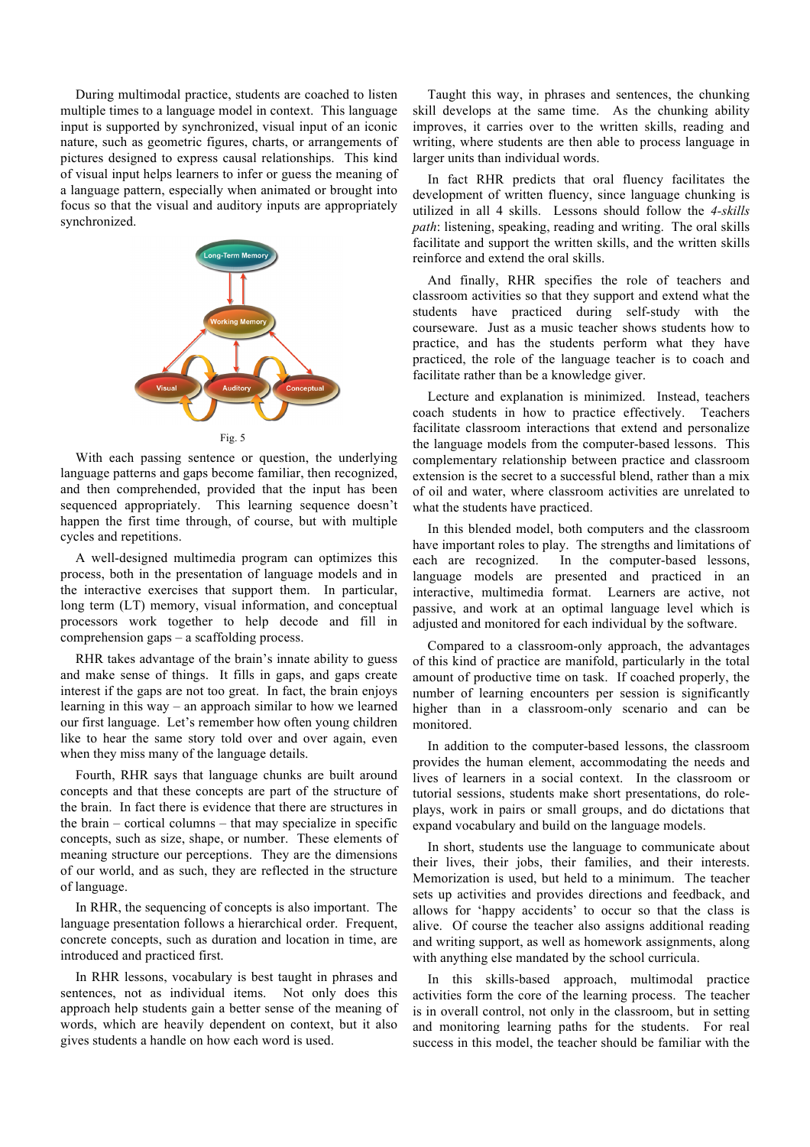During multimodal practice, students are coached to listen multiple times to a language model in context. This language input is supported by synchronized, visual input of an iconic nature, such as geometric figures, charts, or arrangements of pictures designed to express causal relationships. This kind of visual input helps learners to infer or guess the meaning of a language pattern, especially when animated or brought into focus so that the visual and auditory inputs are appropriately synchronized.



With each passing sentence or question, the underlying language patterns and gaps become familiar, then recognized, and then comprehended, provided that the input has been sequenced appropriately. This learning sequence doesn't happen the first time through, of course, but with multiple cycles and repetitions.

A well-designed multimedia program can optimizes this process, both in the presentation of language models and in the interactive exercises that support them. In particular, long term (LT) memory, visual information, and conceptual processors work together to help decode and fill in comprehension gaps – a scaffolding process.

RHR takes advantage of the brain's innate ability to guess and make sense of things. It fills in gaps, and gaps create interest if the gaps are not too great. In fact, the brain enjoys learning in this way – an approach similar to how we learned our first language. Let's remember how often young children like to hear the same story told over and over again, even when they miss many of the language details.

Fourth, RHR says that language chunks are built around concepts and that these concepts are part of the structure of the brain. In fact there is evidence that there are structures in the brain – cortical columns – that may specialize in specific concepts, such as size, shape, or number. These elements of meaning structure our perceptions. They are the dimensions of our world, and as such, they are reflected in the structure of language.

In RHR, the sequencing of concepts is also important. The language presentation follows a hierarchical order. Frequent, concrete concepts, such as duration and location in time, are introduced and practiced first.

In RHR lessons, vocabulary is best taught in phrases and sentences, not as individual items. Not only does this approach help students gain a better sense of the meaning of words, which are heavily dependent on context, but it also gives students a handle on how each word is used.

Taught this way, in phrases and sentences, the chunking skill develops at the same time. As the chunking ability improves, it carries over to the written skills, reading and writing, where students are then able to process language in larger units than individual words.

In fact RHR predicts that oral fluency facilitates the development of written fluency, since language chunking is utilized in all 4 skills. Lessons should follow the *4-skills path*: listening, speaking, reading and writing. The oral skills facilitate and support the written skills, and the written skills reinforce and extend the oral skills.

And finally, RHR specifies the role of teachers and classroom activities so that they support and extend what the students have practiced during self-study with the courseware. Just as a music teacher shows students how to practice, and has the students perform what they have practiced, the role of the language teacher is to coach and facilitate rather than be a knowledge giver.

Lecture and explanation is minimized. Instead, teachers coach students in how to practice effectively. Teachers facilitate classroom interactions that extend and personalize the language models from the computer-based lessons. This complementary relationship between practice and classroom extension is the secret to a successful blend, rather than a mix of oil and water, where classroom activities are unrelated to what the students have practiced.

In this blended model, both computers and the classroom have important roles to play. The strengths and limitations of each are recognized. In the computer-based lessons, language models are presented and practiced in an interactive, multimedia format. Learners are active, not passive, and work at an optimal language level which is adjusted and monitored for each individual by the software.

Compared to a classroom-only approach, the advantages of this kind of practice are manifold, particularly in the total amount of productive time on task. If coached properly, the number of learning encounters per session is significantly higher than in a classroom-only scenario and can be monitored.

In addition to the computer-based lessons, the classroom provides the human element, accommodating the needs and lives of learners in a social context. In the classroom or tutorial sessions, students make short presentations, do roleplays, work in pairs or small groups, and do dictations that expand vocabulary and build on the language models.

In short, students use the language to communicate about their lives, their jobs, their families, and their interests. Memorization is used, but held to a minimum. The teacher sets up activities and provides directions and feedback, and allows for 'happy accidents' to occur so that the class is alive. Of course the teacher also assigns additional reading and writing support, as well as homework assignments, along with anything else mandated by the school curricula.

In this skills-based approach, multimodal practice activities form the core of the learning process. The teacher is in overall control, not only in the classroom, but in setting and monitoring learning paths for the students. For real success in this model, the teacher should be familiar with the